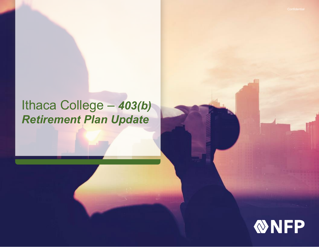# Ithaca College – *403(b) Retirement Plan Update*

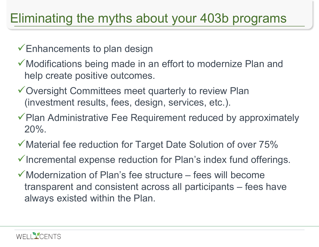# Eliminating the myths about your 403b programs

Enhancements to plan design

- Modifications being made in an effort to modernize Plan and help create positive outcomes.
- Oversight Committees meet quarterly to review Plan (investment results, fees, design, services, etc.).
- $\checkmark$  Plan Administrative Fee Requirement reduced by approximately 20%.
- Material fee reduction for Target Date Solution of over 75%
- $\checkmark$  Incremental expense reduction for Plan's index fund offerings.
- $\checkmark$  Modernization of Plan's fee structure fees will become transparent and consistent across all participants – fees have always existed within the Plan.

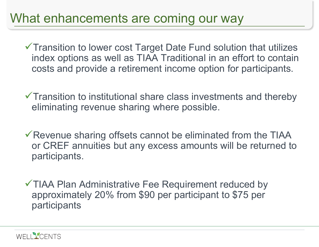## What enhancements are coming our way

Transition to lower cost Target Date Fund solution that utilizes index options as well as TIAA Traditional in an effort to contain costs and provide a retirement income option for participants.

 $\checkmark$  Transition to institutional share class investments and thereby eliminating revenue sharing where possible.

 $\checkmark$  Revenue sharing offsets cannot be eliminated from the TIAA or CREF annuities but any excess amounts will be returned to participants.

TIAA Plan Administrative Fee Requirement reduced by approximately 20% from \$90 per participant to \$75 per participants

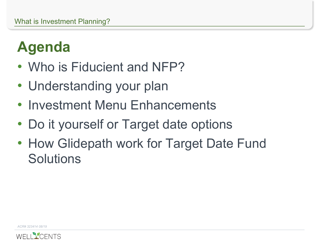# **Agenda**

- Who is Fiducient and NFP?
- Understanding your plan
- Investment Menu Enhancements
- Do it yourself or Target date options
- How Glidepath work for Target Date Fund **Solutions**

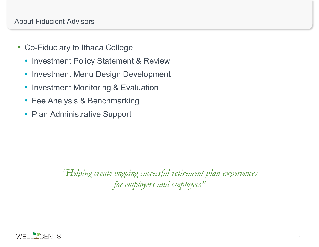- Co-Fiduciary to Ithaca College
	- Investment Policy Statement & Review
	- Investment Menu Design Development
	- Investment Monitoring & Evaluation
	- Fee Analysis & Benchmarking
	- Plan Administrative Support

*"Helping create ongoing successful retirement plan experiences for employers and employees"*

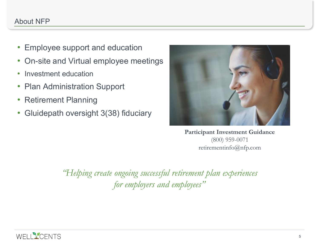### About NFP

- Employee support and education
- On-site and Virtual employee meetings
- Investment education
- Plan Administration Support
- Retirement Planning
- Gluidepath oversight 3(38) fiduciary



**Participant Investment Guidance** (800) 959-0071 retirementinfo@nfp.com

*"Helping create ongoing successful retirement plan experiences for employers and employees"*

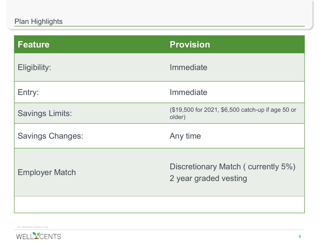| <b>Feature</b>          | <b>Provision</b>                                            |
|-------------------------|-------------------------------------------------------------|
| Eligibility:            | Immediate                                                   |
| Entry:                  | Immediate                                                   |
| <b>Savings Limits:</b>  | (\$19,500 for 2021, \$6,500 catch-up if age 50 or<br>older) |
| <b>Savings Changes:</b> | Any time                                                    |
| <b>Employer Match</b>   | Discretionary Match (currently 5%)<br>2 year graded vesting |
|                         |                                                             |

*For illustrative purposes only.*

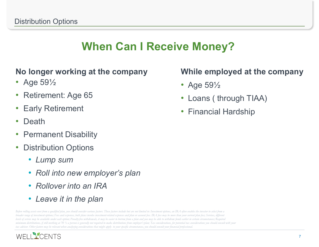## **When Can I Receive Money?**

### **No longer working at the company**

- Age 59<sup>1</sup>/<sub>2</sub>
- Retirement: Age 65
- Early Retirement
- Death
- Permanent Disability
- Distribution Options
	- *Lump sum*
	- *Roll into new employer's plan*
	- *Rollover into an IRA*
	- *Leave it in the plan*

*Before rolling assets over from a qualified plan, you should consider various factors. These factors include but are not limited to: Investment options, an IRA often enables the investor to select from a broader range of investment options; Fees and expenses, both plans involve investment-related expenses and plan or account fees. IRA fees may be more than your current plan fees; Services, different levels of service may be available under each option; Penalty-free withdrawals, it may be easier to borrow from a plan and you may be able to withdraw funds earlier in certain circumstances; Required minimum distributions, if still working at 70 ½ a person is generally not required to make distributions from employer's plan; Tax considerations, for potential tax considerations you should consult with your tax advisor. Other factors may be relevant when analyzing considerations that might apply to your specific circumstances, you should consult your financial professional.*



### **While employed at the company**

- Age 59<sup>1</sup>/<sub>2</sub>
- Loans ( through TIAA)
- Financial Hardship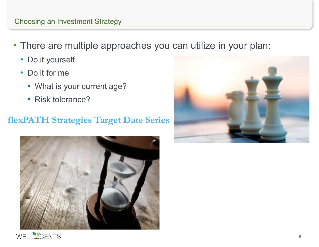### Choosing an Investment Strategy

- There are multiple approaches you can utilize in your plan:
	- Do it yourself
	- Do it for me
		- What is your current age?
		- Risk tolerance?

### **flexPATH Strategies Target Date Series**





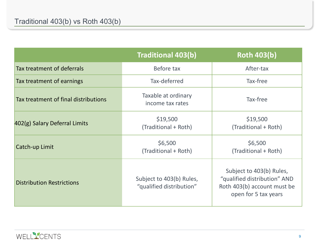|                                      | <b>Traditional 403(b)</b>                            | <b>Roth 403(b)</b>                                                                                              |
|--------------------------------------|------------------------------------------------------|-----------------------------------------------------------------------------------------------------------------|
| Tax treatment of deferrals           | Before tax                                           | After-tax                                                                                                       |
| Tax treatment of earnings            | Tax-deferred                                         | Tax-free                                                                                                        |
| Tax treatment of final distributions | Taxable at ordinary<br>income tax rates              | Tax-free                                                                                                        |
| 402(g) Salary Deferral Limits        | \$19,500<br>(Traditional + Roth)                     | \$19,500<br>(Traditional + Roth)                                                                                |
| Catch-up Limit                       | \$6,500<br>(Traditional + Roth)                      | \$6,500<br>(Traditional + Roth)                                                                                 |
| <b>Distribution Restrictions</b>     | Subject to 403(b) Rules,<br>"qualified distribution" | Subject to 403(b) Rules,<br>"qualified distribution" AND<br>Roth 403(b) account must be<br>open for 5 tax years |

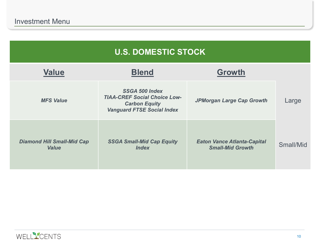| <b>U.S. DOMESTIC STOCK</b>                        |                                                                                                                           |                                                               |           |  |  |
|---------------------------------------------------|---------------------------------------------------------------------------------------------------------------------------|---------------------------------------------------------------|-----------|--|--|
| <b>Value</b>                                      | <b>Blend</b>                                                                                                              | Growth                                                        |           |  |  |
| <b>MFS Value</b>                                  | <b>SSGA 500 Index</b><br><b>TIAA-CREF Social Choice Low-</b><br><b>Carbon Equity</b><br><b>Vanguard FTSE Social Index</b> | JPMorgan Large Cap Growth                                     | Large     |  |  |
| <b>Diamond Hill Small-Mid Cap</b><br><b>Value</b> | <b>SSGA Small-Mid Cap Equity</b><br><b>Index</b>                                                                          | <b>Eaton Vance Atlanta-Capital</b><br><b>Small-Mid Growth</b> | Small/Mid |  |  |

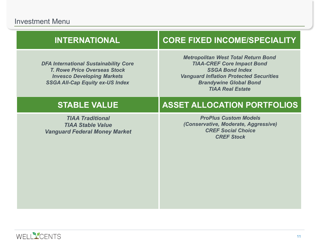### **INTERNATIONAL CORE FIXED INCOME/SPECIALITY**

*DFA International Sustainability Core T. Rowe Price Overseas Stock Invesco Developing Markets SSGA All-Cap Equity ex-US Index*

*Metropolitan West Total Return Bond TIAA-CREF Core Impact Bond SSGA Bond Index Vanguard Inflation Protected Securities Brandywine Global Bond TIAA Real Estate*

*TIAA Traditional TIAA Stable Value Vanguard Federal Money Market*

### **STABLE VALUE ASSET ALLOCATION PORTFOLIOS**

*ProPlus Custom Models (Conservative, Moderate, Aggressive) CREF Social Choice CREF Stock* 

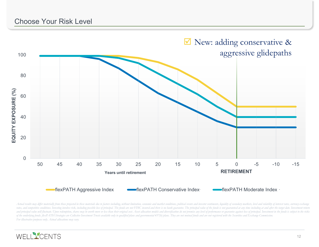

Actual results may differ materially from those projected in these materials due to factors including, without limitation, economic and market conditions, political events and investor sentiments, liquidity of secondary ma rates, and competitive conditions. Investing involves risk, including possible loss of principal. The funds are not FDIC insured and there is no bank guarantee. The principal value of the funds is not guaranteed at any tim and principal value will fluctuate. Upon redemption, shares may be worth more or less than their original cost. Asset allocation models and diversification do not promise any level of performance or guarantee against loss of the underlying funds. flexPATH Strategies are Collective Investment Trusts available only to qualified plans and governmental 457(b) plans. They are not mutual funds and are not registered with the Securities and Exchan *For illustrative purposes only. Actual allocations may vary.*

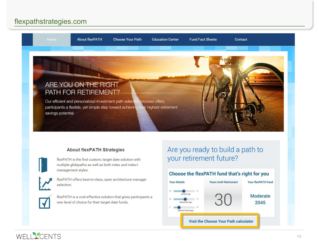### flexpathstrategies.com



### **About flexPATH Strategies**

flexPATH is the first custom, target date solution with multiple glidepaths as well as both index and index+ management styles.



flexPATH offers best-in-class, open architecture manager selection.

flexPATH is a cost-effective solution that gives participants a new level of choice for their target date funds.

### Are you ready to build a path to your retirement future?

### Choose the flexPATH fund that's right for you



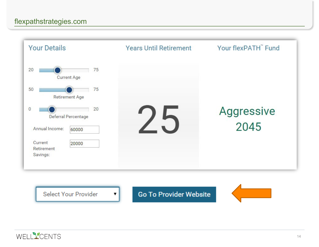

Select Your Provider

v.

**Go To Provider Website** 



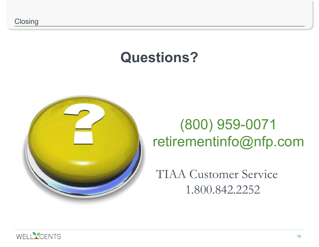# **Questions?**



# (800) 959-0071 retirementinfo@nfp.com

TIAA Customer Service 1.800.842.2252

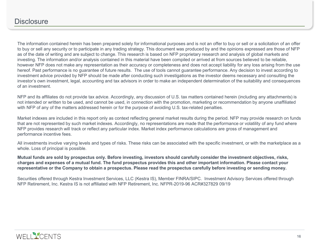The information contained herein has been prepared solely for informational purposes and is not an offer to buy or sell or a solicitation of an offer to buy or sell any security or to participate in any trading strategy. This document was produced by and the opinions expressed are those of NFP as of the date of writing and are subject to change. This research is based on NFP proprietary research and analysis of global markets and investing. The information and/or analysis contained in this material have been compiled or arrived at from sources believed to be reliable, however NFP does not make any representation as their accuracy or completeness and does not accept liability for any loss arising from the use hereof. Past performance is no guarantee of future results. The use of tools cannot guarantee performance. Any decision to invest according to investment advice provided by NFP should be made after conducting such investigations as the investor deems necessary and consulting the investor's own investment, legal, accounting and tax advisors in order to make an independent determination of the suitability and consequences of an investment.

NFP and its affiliates do not provide tax advice. Accordingly, any discussion of U.S. tax matters contained herein (including any attachments) is not intended or written to be used, and cannot be used, in connection with the promotion, marketing or recommendation by anyone unaffiliated with NFP of any of the matters addressed herein or for the purpose of avoiding U.S. tax-related penalties.

Market indexes are included in this report only as context reflecting general market results during the period. NFP may provide research on funds that are not represented by such market indexes. Accordingly, no representations are made that the performance or volatility of any fund where NFP provides research will track or reflect any particular index. Market index performance calculations are gross of management and performance incentive fees.

All investments involve varying levels and types of risks. These risks can be associated with the specific investment, or with the marketplace as a whole. Loss of principal is possible.

**Mutual funds are sold by prospectus only. Before investing, investors should carefully consider the investment objectives, risks, charges and expenses of a mutual fund. The fund prospectus provides this and other important information. Please contact your representative or the Company to obtain a prospectus. Please read the prospectus carefully before investing or sending money.**

Securities offered through Kestra Investment Services, LLC (Kestra IS), Member FINRA/SIPC. Investment Advisory Services offered through NFP Retirement, Inc. Kestra IS is not affiliated with NFP Retirement, Inc. NFPR-2019-96 ACR#327829 09/19